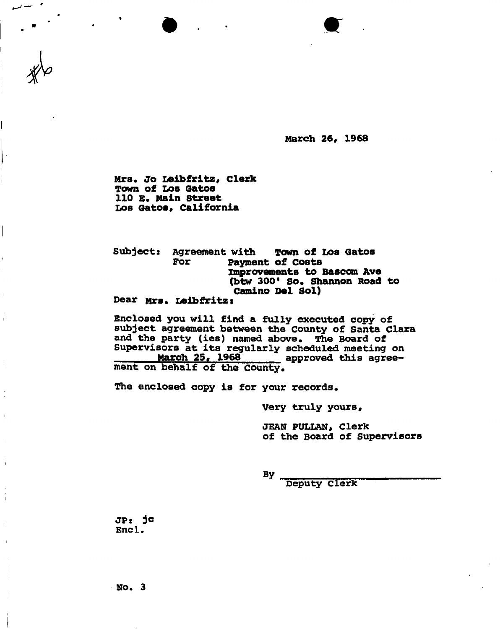**March 26, 1968** 

**Mrs. Jo Leibfritz, clerk Town o£ Los Qatos 110 E. Main Street Los Gatos, California** 

 $\ddot{\phantom{0}}$ 

**Subjects Agreement with Town of Los Qatos For Payment of costs Improvements to Bascom Ave (btw 300" So. Shannon Road to Camino Del Sol) Dear Mrs. Leibfritz s** 

**Enclosed you will find a fully executed copy of subject agreement between the County of Santa Clara and the party (ies) named above. The Board of Supervisors at its regularly scheduled meeting on**  approved this agree**ment on behalf of the county.** 

**The enclosed copy is for your records.** 

**Very truly yours,** 

**JEAN PULIAN, Clerk of the Board of Supervisors** 

**By** \_<del>\_\_\_\_\_\_\_\_\_\_\_\_\_\_\_</del>\_\_\_\_\_\_\_ **Deputy Clerk** 

**JPt je Enc1.** 

**No. 3**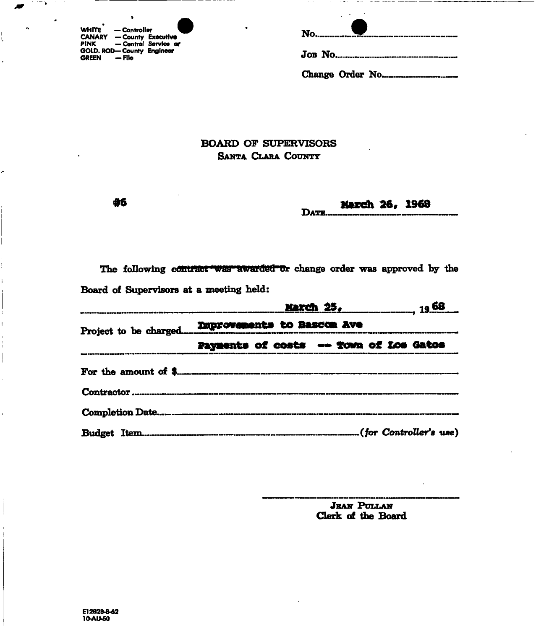| WHITE - Controller                                            | ۰<br>No |  |
|---------------------------------------------------------------|---------|--|
| <b>CANARY - County Executive</b><br>PINK — Central Service or |         |  |
| GOLD. ROD-County Engineer<br>— File<br><b>GREEN</b>           | JOB NO. |  |

ţ

| ٠ | $N_0$ |
|---|-------|
|   |       |
|   |       |

## **BOARD OF SUPERVISORS SANTA CLARA COUNTY**

**#6** 

**Date . March 26, 1968** 

The following countract was awarded or change order was approved by the **Board of Supervisors at a meeting held:** 

| <u> March 25, partners and 1968</u> |                                        |  |  |
|-------------------------------------|----------------------------------------|--|--|
|                                     |                                        |  |  |
|                                     | Payments of costs -- Town of Los Gatos |  |  |
|                                     |                                        |  |  |
|                                     |                                        |  |  |
|                                     |                                        |  |  |
|                                     |                                        |  |  |

Jean Pullan **Clerk of the Board**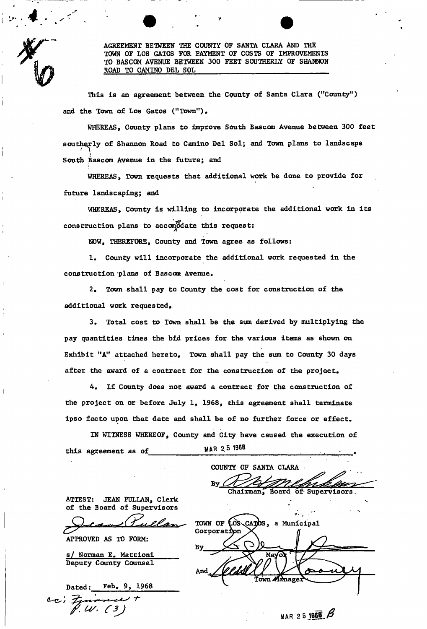AGREEMENT BETWEEN THE COUNTY OF SANTA CLARA AND THE TOWN OF LOS GATOS FOR PAYMENT OF COSTS OF IMPROVEMENTS TO BASCOM AVENUE BETWEEN 300 FEET SOUTHERLY OF SHANNON ROAD TO CAMINO DEL SOL

This is an agreement between the County of Santa Clara ("County") and the Town of Los Gatos ("Town").

WHEREAS, County plans to improve South Bascom Avenue between 300 feet southerly of Shannon Road to Camino Del Sol; and Town plans to landscape South Bascom Avenue in the future; and

WHEREAS, Town requests that additional work be done to provide for future landscaping; and

WHEREAS, County is willing to incorporate the additional work in its construction plans to accomodate this request:

NOW, THEREFORE, County and Town agree as follows:

1. County will incorporate the additional work requested in the construction plans of Bascom Avenue.

2. Town shall pay to County the cost for construction of the additional work requested.

3. Total cost to Town shall be the sum derived by multiplying the pay quantities times the bid prices for the various items as shown on Exhibit "A" attached hereto. Town shall pay the sum to County 30 days after the award of a contract for the construction of the project.

4. If County does not award a contract for the construction of the project on or before July 1, 1968, this agreement shall terminate ipso facto upon that date and shall be of no further force or effect.

IN WITNESS WHEREOF, County and City have caused the execution of IN WITH WITH A WITHOUT AND COUNTY AND COUNTY AND COUNTY AND COUNTY AND COUNTY AND COUNTY AND COUNTY AND COUNTY OF THE EXECUTION OF THE EXECUTION OF THE EXECUTION OF THE EXECUTION OF THE EXECUTION OF THE EXECUTION OF THE EX this agreement as of **MAR 25 1968** 

COUNTY OF SANTA CLARA By

Chairman, Board *of*• Supervisors.

ATTEST: JEAN PULLAN, Clerk of the Board of Supervisors

APPROVED AS TO FORM:

Deputy County Counsel s/ Norman E. Mattioni

Dated; Feb. 9, 1968 cci Finance

TOWN OF LOS CATOS, a Municipal Corporation Ma√o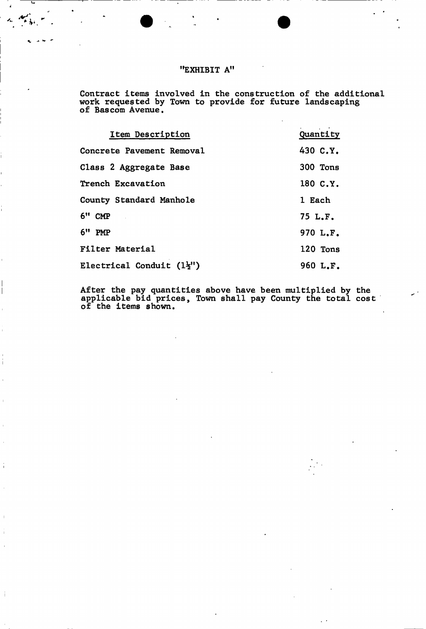## **"EXHIBIT A"**

 $\mathbf{z}$ 

 $\label{eq:2} \mathcal{L}_{\mathbf{z}} = \mathcal{L}_{\mathbf{z}} \mathcal{L}_{\mathbf{z}}$ 

**Contract items involved in the construction of the additional work requested by Town to provide for future landscaping of Bascom Avenue.** 

| Item Description                      | Quantity |
|---------------------------------------|----------|
| Concrete Pavement Removal             | 430 C.Y. |
| Class 2 Aggregate Base                | 300 Tons |
| Trench Excavation                     | 180 C.Y. |
| County Standard Manhole               | 1 Each   |
| $6"$ CMP                              | 75 L.F.  |
| $6"$ PMP                              | 970 L.F. |
| Filter Material                       | 120 Tons |
| Electrical Conduit $(1\frac{1}{2}$ ") | 960 L.F. |

**After the pay quantities above have been multiplied by the applicable bid prices, Town shall pay County the total cost of the items shown.**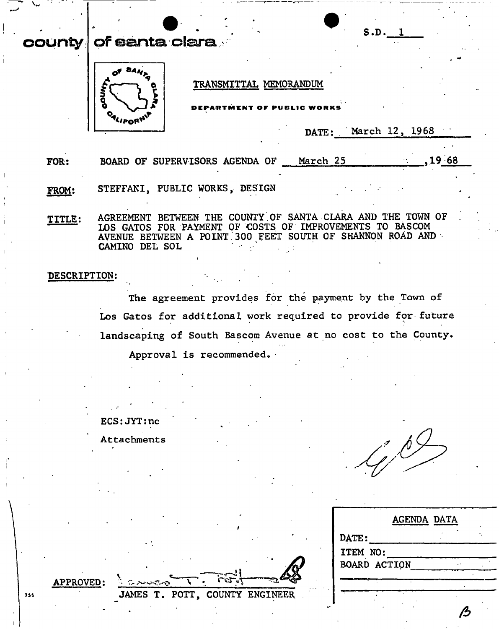## S.D. 1 **count y o f eant® , clar a TRANSMITTAL MEMORANDUM**   $C$  **WORKS** ALIFORT **DATE: March 12, 1968**  FOR: **BOARD OF SUPERVISORS AGENDA OF** March 25 ,19 68 **FROM: STEFFANI, PUBLIC WORKS, DESIGN**  TITLE: AGREEMENT BETWEEN THE COUNTY OF SANTA CLARA AND THE TOWN OF **LOS GATOS FOR PAYMENT OF COSTS OF IMPROVEMENTS TO BASCOM AVENUE BETWEEN A POINT.300 FEET SOUTH OF SHANNON ROAD AND CAMINO DEL SOL DESCRIPTION: The agreement provides for the payment by the Town of Los Gatos for additional work required to provide for future landscaping of South Bascom Avenue at no cost to the County. Approval is recommended.**

**ECS:JYT:nc** 

**Attachments** 

|          |              | <b>AGENDA DATA</b> |  |
|----------|--------------|--------------------|--|
| DATE:    |              |                    |  |
| ITEM NO: |              |                    |  |
|          | BOARD ACTION |                    |  |
|          |              |                    |  |
|          |              |                    |  |
|          |              |                    |  |

**APPROVED:** 

755

**v JAMES T. POTT, COUNTY ENGINEER**